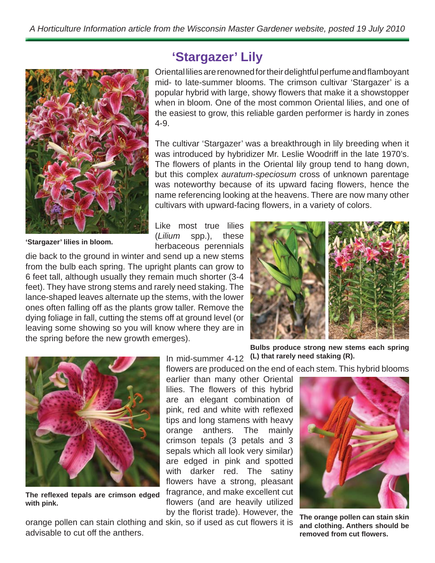

**'Stargazer' lilies in bloom.**

## **'Stargazer' Lily**

Oriental lilies are renowned for their delightful perfume and flamboyant mid- to late-summer blooms. The crimson cultivar 'Stargazer' is a popular hybrid with large, showy flowers that make it a showstopper when in bloom. One of the most common Oriental lilies, and one of the easiest to grow, this reliable garden performer is hardy in zones 4-9.

The cultivar 'Stargazer' was a breakthrough in lily breeding when it was introduced by hybridizer Mr. Leslie Woodriff in the late 1970's. The flowers of plants in the Oriental lily group tend to hang down, but this complex *auratum-speciosum* cross of unknown parentage was noteworthy because of its upward facing flowers, hence the name referencing looking at the heavens. There are now many other cultivars with upward-facing flowers, in a variety of colors.

Like most true lilies (*Lilium* spp.), these herbaceous perennials

die back to the ground in winter and send up a new stems from the bulb each spring. The upright plants can grow to 6 feet tall, although usually they remain much shorter (3-4 feet). They have strong stems and rarely need staking. The lance-shaped leaves alternate up the stems, with the lower ones often falling off as the plants grow taller. Remove the dying foliage in fall, cutting the stems off at ground level (or leaving some showing so you will know where they are in the spring before the new growth emerges).





The reflexed tepals are crimson edged **with pink.**

**Bulbs produce strong new stems each spring** 

flowers are produced on the end of each stem. This hybrid blooms

earlier than many other Oriental lilies. The flowers of this hybrid are an elegant combination of pink, red and white with reflexed tips and long stamens with heavy orange anthers. The mainly crimson tepals (3 petals and 3 sepals which all look very similar) are edged in pink and spotted with darker red. The satiny flowers have a strong, pleasant fragrance, and make excellent cut flowers (and are heavily utilized by the florist trade). However, the

orange pollen can stain clothing and skin, so if used as cut flowers it is advisable to cut off the anthers.

In mid-summer 4-12 **(L) that rarely need staking (R).**



**The orange pollen can stain skin and clothing. Anthers should be removed from cut fl owers.**